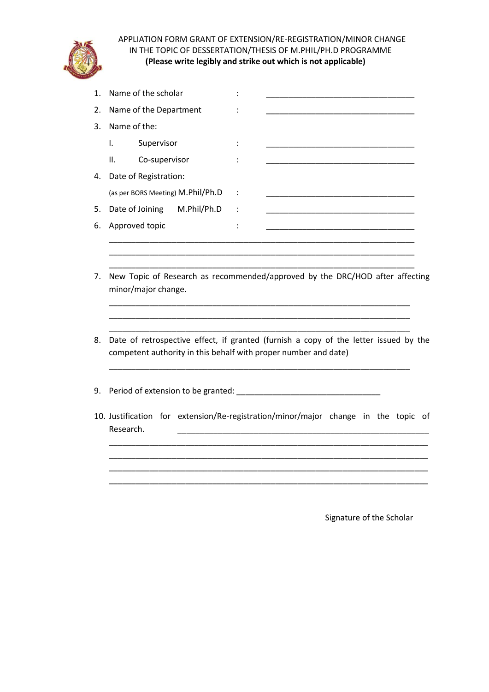

APPLIATION FORM GRANT OF EXTENSION/RE-REGISTRATION/MINOR CHANGE IN THE TOPIC OF DESSERTATION/THESIS OF M.PHIL/PH.D PROGRAMME **(Please write legibly and strike out which is not applicable)**

| 1. | Name of the scholar                                             |                                                                                                                      |
|----|-----------------------------------------------------------------|----------------------------------------------------------------------------------------------------------------------|
| 2. | Name of the Department                                          |                                                                                                                      |
| 3. | Name of the:                                                    |                                                                                                                      |
|    | Supervisor<br>Ι.                                                | <u> 1989 - Johann John Harry, mars eta bat eta bat eta bat eta bat eta bat eta bat eta bat eta bat eta bat eta b</u> |
|    | Co-supervisor<br>Ш.                                             |                                                                                                                      |
| 4. | Date of Registration:                                           |                                                                                                                      |
|    | (as per BORS Meeting) M.Phil/Ph.D                               |                                                                                                                      |
| 5. | Date of Joining<br>M.Phil/Ph.D                                  |                                                                                                                      |
| 6. | Approved topic                                                  |                                                                                                                      |
|    |                                                                 |                                                                                                                      |
|    |                                                                 |                                                                                                                      |
| 7. | minor/major change.                                             | New Topic of Research as recommended/approved by the DRC/HOD after affecting                                         |
| 8. | competent authority in this behalf with proper number and date) | Date of retrospective effect, if granted (furnish a copy of the letter issued by the                                 |
| 9. |                                                                 |                                                                                                                      |
|    | Research.                                                       | 10. Justification for extension/Re-registration/minor/major change in the topic of                                   |
|    |                                                                 |                                                                                                                      |
|    |                                                                 |                                                                                                                      |
|    |                                                                 |                                                                                                                      |
|    |                                                                 |                                                                                                                      |

Signature of the Scholar